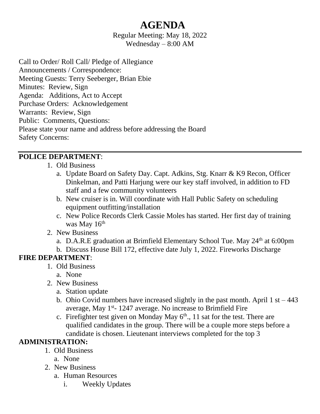# **AGENDA**

Regular Meeting: May 18, 2022 Wednesday – 8:00 AM

Call to Order/ Roll Call/ Pledge of Allegiance Announcements / Correspondence: Meeting Guests: Terry Seeberger, Brian Ebie Minutes: Review, Sign Agenda: Additions, Act to Accept Purchase Orders: Acknowledgement Warrants: Review, Sign Public: Comments, Questions: Please state your name and address before addressing the Board Safety Concerns:

#### **POLICE DEPARTMENT**:

- 1. Old Business
	- a. Update Board on Safety Day. Capt. Adkins, Stg. Knarr & K9 Recon, Officer Dinkelman, and Patti Harjung were our key staff involved, in addition to FD staff and a few community volunteers
	- b. New cruiser is in. Will coordinate with Hall Public Safety on scheduling equipment outfitting/installation
	- c. New Police Records Clerk Cassie Moles has started. Her first day of training was May  $16<sup>th</sup>$
- 2. New Business
	- a. D.A.R.E graduation at Brimfield Elementary School Tue. May  $24<sup>th</sup>$  at 6:00pm
	- b. Discuss House Bill 172, effective date July 1, 2022. Fireworks Discharge

#### **FIRE DEPARTMENT**:

- 1. Old Business
	- a. None
- 2. New Business
	- a. Station update
	- b. Ohio Covid numbers have increased slightly in the past month. April  $1 \text{ st} 443$ average, May 1<sup>st</sup>-1247 average. No increase to Brimfield Fire
	- c. Firefighter test given on Monday May  $6<sup>th</sup>$ , 11 sat for the test. There are qualified candidates in the group. There will be a couple more steps before a candidate is chosen. Lieutenant interviews completed for the top 3

#### **ADMINISTRATION:**

- 1. Old Business
	- a. None
- 2. New Business
	- a. Human Resources
		- i. Weekly Updates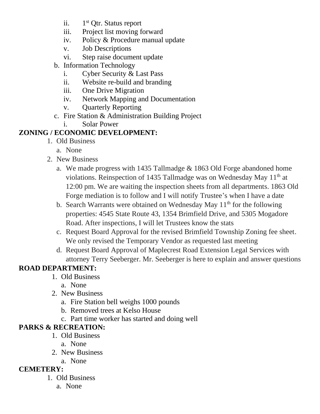- ii. 1<sup>st</sup> Otr. Status report
- iii. Project list moving forward
- iv. Policy & Procedure manual update
- v. Job Descriptions
- vi. Step raise document update
- b. Information Technology
	- i. Cyber Security & Last Pass
	- ii. Website re-build and branding
	- iii. One Drive Migration
	- iv. Network Mapping and Documentation
	- v. Quarterly Reporting
- c. Fire Station & Administration Building Project
	- i. Solar Power

# **ZONING / ECONOMIC DEVELOPMENT:**

- 1. Old Business
	- a. None
- 2. New Business
	- a. We made progress with 1435 Tallmadge & 1863 Old Forge abandoned home violations. Reinspection of 1435 Tallmadge was on Wednesday May 11<sup>th</sup> at 12:00 pm. We are waiting the inspection sheets from all departments. 1863 Old Forge mediation is to follow and I will notify Trustee's when I have a date
	- b. Search Warrants were obtained on Wednesday May  $11<sup>th</sup>$  for the following properties: 4545 State Route 43, 1354 Brimfield Drive, and 5305 Mogadore Road. After inspections, I will let Trustees know the stats
	- c. Request Board Approval for the revised Brimfield Township Zoning fee sheet. We only revised the Temporary Vendor as requested last meeting
	- d. Request Board Approval of Maplecrest Road Extension Legal Services with attorney Terry Seeberger. Mr. Seeberger is here to explain and answer questions

# **ROAD DEPARTMENT:**

- 1. Old Business
	- a. None
- 2. New Business
	- a. Fire Station bell weighs 1000 pounds
	- b. Removed trees at Kelso House
	- c. Part time worker has started and doing well

# **PARKS & RECREATION:**

- 1. Old Business
	- a. None
- 2. New Business
- a. None

## **CEMETERY:**

- 1. Old Business
	- a. None